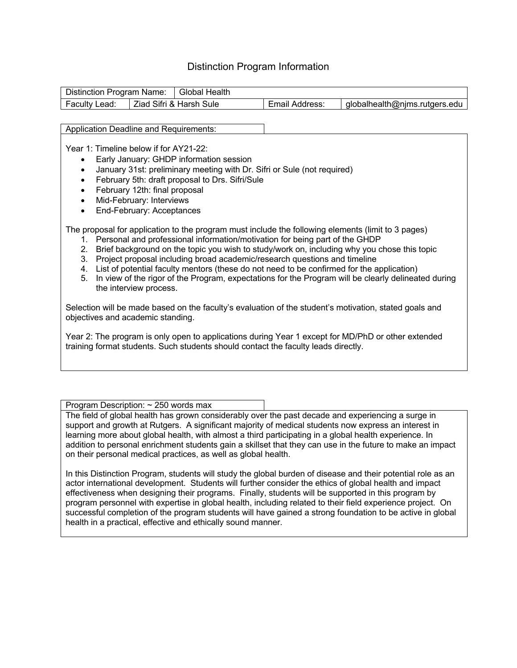## Distinction Program Information

| Distinction Program Name: |  | <b>Global Health</b>    |                |                               |
|---------------------------|--|-------------------------|----------------|-------------------------------|
| Faculty Lead:             |  | Ziad Sifri & Harsh Sule | Email Address: | globalhealth@nims.rutgers.edu |

Application Deadline and Requirements:

Year 1: Timeline below if for AY21-22:

- Early January: GHDP information session
- January 31st: preliminary meeting with Dr. Sifri or Sule (not required)
- February 5th: draft proposal to Drs. Sifri/Sule
- February 12th: final proposal
- Mid-February: Interviews
- End-February: Acceptances

The proposal for application to the program must include the following elements (limit to 3 pages)

- 1. Personal and professional information/motivation for being part of the GHDP
- 2. Brief background on the topic you wish to study/work on, including why you chose this topic
- 3. Project proposal including broad academic/research questions and timeline
- 4. List of potential faculty mentors (these do not need to be confirmed for the application)
- 5. In view of the rigor of the Program, expectations for the Program will be clearly delineated during the interview process.

Selection will be made based on the faculty's evaluation of the student's motivation, stated goals and objectives and academic standing.

Year 2: The program is only open to applications during Year 1 except for MD/PhD or other extended training format students. Such students should contact the faculty leads directly.

Program Description: ~ 250 words max

The field of global health has grown considerably over the past decade and experiencing a surge in support and growth at Rutgers. A significant majority of medical students now express an interest in learning more about global health, with almost a third participating in a global health experience. In addition to personal enrichment students gain a skillset that they can use in the future to make an impact on their personal medical practices, as well as global health.

In this Distinction Program, students will study the global burden of disease and their potential role as an actor international development. Students will further consider the ethics of global health and impact effectiveness when designing their programs. Finally, students will be supported in this program by program personnel with expertise in global health, including related to their field experience project. On successful completion of the program students will have gained a strong foundation to be active in global health in a practical, effective and ethically sound manner.